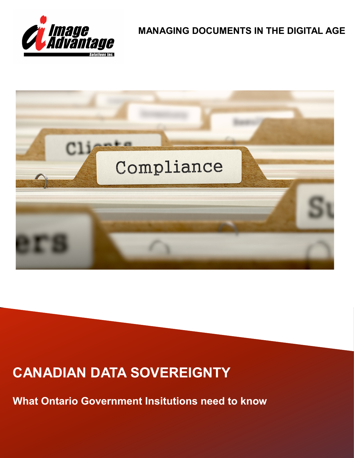

**MANAGING DOCUMENTS IN THE DIGITAL AGE**



# **CANADIAN DATA SOVEREIGNTY**

**What Ontario Government Insitutions need to know**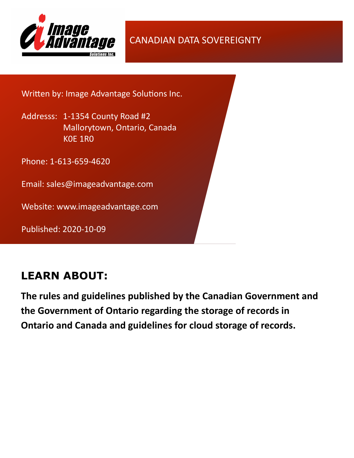

CANADIAN DATA SOVEREIGNTY

Written by: Image Advantage Solutions Inc.

Addresss: 1-1354 County Road #2 Mallorytown, Ontario, Canada K0E 1R0

Phone: 1-613-659-4620

Email: sales@imageadvantage.com

Website: www.imageadvantage.com

Published: 2020-10-09

# **LEARN ABOUT:**

**The rules and guidelines published by the Canadian Government and the Government of Ontario regarding the storage of records in Ontario and Canada and guidelines for cloud storage of records.**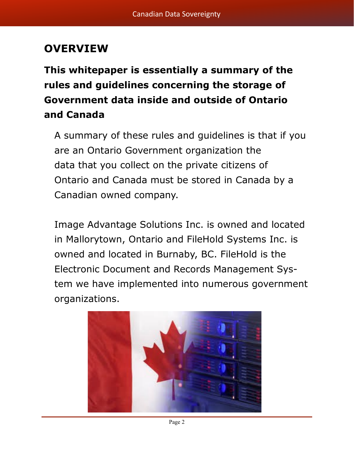# **OVERVIEW**

**This whitepaper is essentially a summary of the rules and guidelines concerning the storage of Government data inside and outside of Ontario and Canada**

A summary of these rules and guidelines is that if you are an Ontario Government organization the data that you collect on the private citizens of Ontario and Canada must be stored in Canada by a Canadian owned company.

Image Advantage Solutions Inc. is owned and located in Mallorytown, Ontario and FileHold Systems Inc. is owned and located in Burnaby, BC. FileHold is the Electronic Document and Records Management System we have implemented into numerous government organizations.

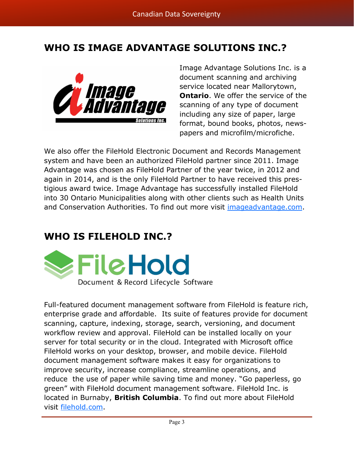## **WHO IS IMAGE ADVANTAGE SOLUTIONS INC.?**



Image Advantage Solutions Inc. is a document scanning and archiving service located near Mallorytown, **Ontario.** We offer the service of the scanning of any type of document including any size of paper, large format, bound books, photos, newspapers and microfilm/microfiche.

We also offer the FileHold Electronic Document and Records Management system and have been an authorized FileHold partner since 2011. Image Advantage was chosen as FileHold Partner of the year twice, in 2012 and again in 2014, and is the only FileHold Partner to have received this prestigious award twice. Image Advantage has successfully installed FileHold into 30 Ontario Municipalities along with other clients such as Health Units and Conservation Authorities. To find out more visit [imageadvantage.com.](https://imageadvantage.com/)

## **WHO IS FILEHOLD INC.?**



Full-featured document management software from FileHold is feature rich, enterprise grade and affordable. Its suite of features provide for document scanning, capture, indexing, storage, search, versioning, and document workflow review and approval. FileHold can be installed locally on your server for total security or in the cloud. Integrated with Microsoft office FileHold works on your desktop, browser, and mobile device. FileHold document management software makes it easy for organizations to improve security, increase compliance, streamline operations, and reduce the use of paper while saving time and money. "Go paperless, go green" with FileHold document management software. FileHold Inc. is located in Burnaby, **British Columbia**. To find out more about FileHold visit [filehold.com.](https://www.filehold.com/)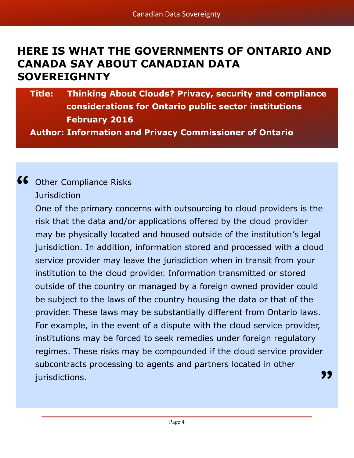# **HERE IS WHAT THE GOVERNMENTS OF ONTARIO AND CANADA SAY ABOUT CANADIAN DATA SOVEREIGHNTY**

## **Title: Thinking About Clouds? Privacy, security and compliance considerations for Ontario public sector institutions February 2016 Author: Information and Privacy Commissioner of Ontario**

# Other Compliance Risks **"**

**Jurisdiction** 

One of the primary concerns with outsourcing to cloud providers is the risk that the data and/or applications offered by the cloud provider may be physically located and housed outside of the institution's legal jurisdiction. In addition, information stored and processed with a cloud service provider may leave the jurisdiction when in transit from your institution to the cloud provider. Information transmitted or stored outside of the country or managed by a foreign owned provider could be subject to the laws of the country housing the data or that of the provider. These laws may be substantially different from Ontario laws. For example, in the event of a dispute with the cloud service provider, institutions may be forced to seek remedies under foreign regulatory regimes. These risks may be compounded if the cloud service provider subcontracts processing to agents and partners located in other jurisdictions. **"**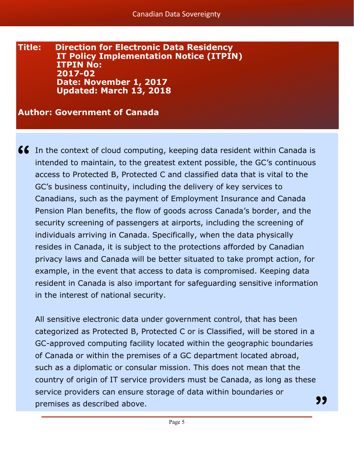#### **Title: Direction for Electronic Data Residency IT Policy Implementation Notice (ITPIN) ITPIN No: 2017-02 Date: November 1, 2017 Updated: March 13, 2018**

#### **Author: Government of Canada**

**66** In the context of cloud computing, keeping data resident within Canada is intended to maintain, to the greatest extent possible, the GC's continuous intended to maintain, to the greatest extent possible, the GC's continuous access to Protected B, Protected C and classified data that is vital to the GC's business continuity, including the delivery of key services to Canadians, such as the payment of Employment Insurance and Canada Pension Plan benefits, the flow of goods across Canada's border, and the security screening of passengers at airports, including the screening of individuals arriving in Canada. Specifically, when the data physically resides in Canada, it is subject to the protections afforded by Canadian privacy laws and Canada will be better situated to take prompt action, for example, in the event that access to data is compromised. Keeping data resident in Canada is also important for safeguarding sensitive information in the interest of national security.

All sensitive electronic data under government control, that has been categorized as Protected B, Protected C or is Classified, will be stored in a GC-approved computing facility located within the geographic boundaries of Canada or within the premises of a GC department located abroad, such as a diplomatic or consular mission. This does not mean that the country of origin of IT service providers must be Canada, as long as these service providers can ensure storage of data within boundaries or premises as described above. **"**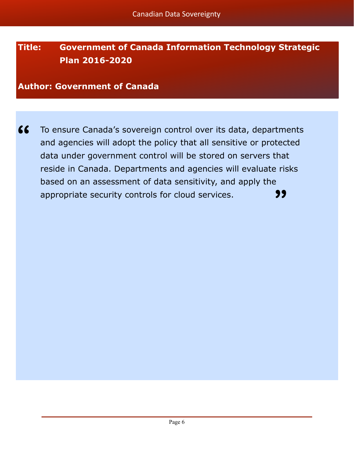## **Title: Government of Canada Information Technology Strategic Plan 2016-2020**

**Author: Government of Canada**

To ensure Canada's sovereign control over its data, departments and agencies will adopt the policy that all sensitive or protected data under government control will be stored on servers that reside in Canada. Departments and agencies will evaluate risks based on an assessment of data sensitivity, and apply the appropriate security controls for cloud services. **" "**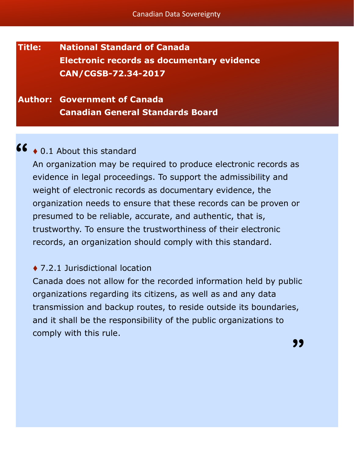## **Title: National Standard of Canada Electronic records as documentary evidence CAN/CGSB-72.34-2017**

### **Author: Government of Canada Canadian General Standards Board**

# ◆ 0.1 About this standard **"**

An organization may be required to produce electronic records as evidence in legal proceedings. To support the admissibility and weight of electronic records as documentary evidence, the organization needs to ensure that these records can be proven or presumed to be reliable, accurate, and authentic, that is, trustworthy. To ensure the trustworthiness of their electronic records, an organization should comply with this standard.

#### ◆ 7.2.1 Jurisdictional location

Canada does not allow for the recorded information held by public organizations regarding its citizens, as well as and any data transmission and backup routes, to reside outside its boundaries, and it shall be the responsibility of the public organizations to comply with this rule.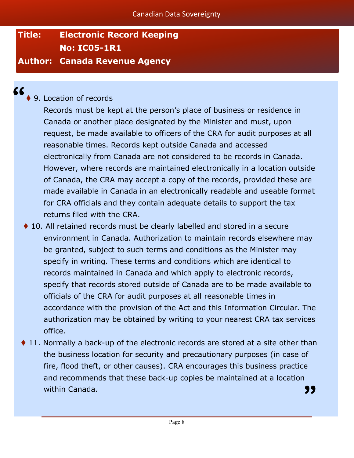# **Title: Electronic Record Keeping No: IC05-1R1**

#### **Author: Canada Revenue Agency**

**"**

### ▶ 9. Location of records

Records must be kept at the person's place of business or residence in Canada or another place designated by the Minister and must, upon request, be made available to officers of the CRA for audit purposes at all reasonable times. Records kept outside Canada and accessed electronically from Canada are not considered to be records in Canada. However, where records are maintained electronically in a location outside of Canada, the CRA may accept a copy of the records, provided these are made available in Canada in an electronically readable and useable format for CRA officials and they contain adequate details to support the tax returns filed with the CRA.

- ♦ 10. All retained records must be clearly labelled and stored in a secure environment in Canada. Authorization to maintain records elsewhere may be granted, subject to such terms and conditions as the Minister may specify in writing. These terms and conditions which are identical to records maintained in Canada and which apply to electronic records, specify that records stored outside of Canada are to be made available to officials of the CRA for audit purposes at all reasonable times in accordance with the provision of the Act and this Information Circular. The authorization may be obtained by writing to your nearest CRA tax services office.
- ♦ 11. Normally a back-up of the electronic records are stored at a site other than the business location for security and precautionary purposes (in case of fire, flood theft, or other causes). CRA encourages this business practice and recommends that these back-up copies be maintained at a location within Canada. **"**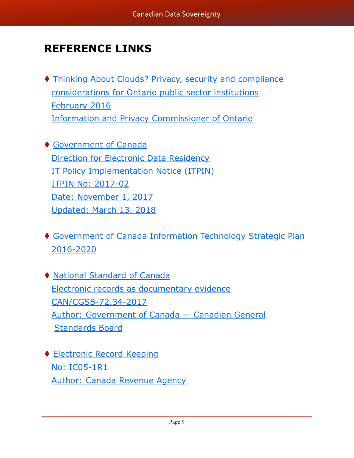# **REFERENCE LINKS**

- ⧫ [Thinking About Clouds? Privacy, security and compliance](https://www.ipc.on.ca/wp-content/uploads/2016/08/thinking-about-clouds-1.pdf)  [considerations for Ontario public sector institutions](https://www.ipc.on.ca/wp-content/uploads/2016/08/thinking-about-clouds-1.pdf) [February 2016](https://www.ipc.on.ca/wp-content/uploads/2016/08/thinking-about-clouds-1.pdf) [Information and Privacy Commissioner of Ontario](https://www.ipc.on.ca/wp-content/uploads/2016/08/thinking-about-clouds-1.pdf)
- ⧫ [Government of Canada](https://www.canada.ca/en/government/system/digital-government/modern-emerging-technologies/direction-electronic-data-residency.html) [Direction for Electronic Data Residency](https://www.canada.ca/en/government/system/digital-government/modern-emerging-technologies/direction-electronic-data-residency.html) [IT Policy Implementation Notice \(ITPIN\)](https://www.canada.ca/en/government/system/digital-government/modern-emerging-technologies/direction-electronic-data-residency.html) [ITPIN No: 2017](https://www.canada.ca/en/government/system/digital-government/modern-emerging-technologies/direction-electronic-data-residency.html)-02 [Date: November 1, 2017](https://www.canada.ca/en/government/system/digital-government/modern-emerging-technologies/direction-electronic-data-residency.html) [Updated: March 13, 2018](https://www.canada.ca/en/government/system/digital-government/modern-emerging-technologies/direction-electronic-data-residency.html)
- ⧫ [Government of Canada Information Technology Strategic Plan](https://www.canada.ca/en/treasury-board-secretariat/services/information-technology/information-technology-strategy.html)  2016-[2020](https://www.canada.ca/en/treasury-board-secretariat/services/information-technology/information-technology-strategy.html)
- ⧫ [National Standard of Canada](http://publications.gc.ca/collections/collection_2017/ongc-cgsb/P29-072-034-2017-eng.pdf) [Electronic records as documentary evidence](http://publications.gc.ca/collections/collection_2017/ongc-cgsb/P29-072-034-2017-eng.pdf) [CAN/CGSB](http://publications.gc.ca/collections/collection_2017/ongc-cgsb/P29-072-034-2017-eng.pdf)-72.34-2017 [Author: Government of Canada —](http://publications.gc.ca/collections/collection_2017/ongc-cgsb/P29-072-034-2017-eng.pdf) Canadian General [Standards Board](http://publications.gc.ca/collections/collection_2017/ongc-cgsb/P29-072-034-2017-eng.pdf)
- ◆ [Electronic Record Keeping](https://www.canada.ca/content/dam/cra-arc/formspubs/pub/ic05-1r1/ic05-1r1-10e.pdf) [No: IC05](https://www.canada.ca/content/dam/cra-arc/formspubs/pub/ic05-1r1/ic05-1r1-10e.pdf)-1R1 [Author: Canada Revenue Agency](https://www.canada.ca/content/dam/cra-arc/formspubs/pub/ic05-1r1/ic05-1r1-10e.pdf)